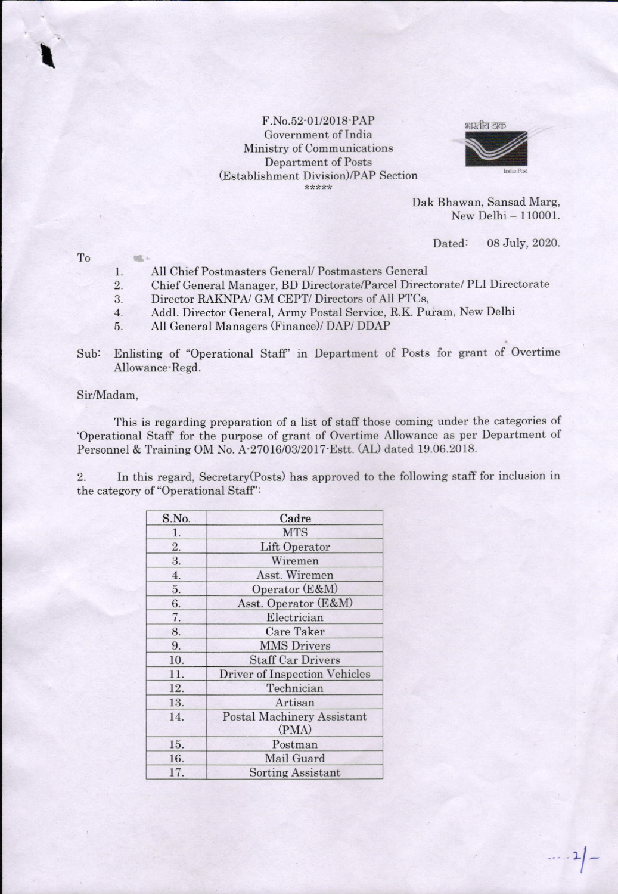## F.No.52-01/2018-PAP Government of India Ministry of Communications Department of Posts (Establishment Division)/PAP Section \*\*\*\*



Dak Bhawan, Sansad Marg, New Delhi - 110001.

Dated: 08 July, 2020.

 $2|$  -

To

話。

 $\ddot{\phantom{a}}$ 

- I All Chief Postmasters General/ Postmasters General
- 2. Chief General Manager, BD Directorate/Parcel Directorate/ PLI Directorate
- Director RAKNPAJ GM CEPT/ Directors of All PTCs, 3.
- 4 Addl. Director General, Army Postal Service, R.K. Puram, New Delhi
- 5 All General Managers (Finance)/ DAP/ DDAP
- Sub: Enlisting of "Operational Staff" in Department of Posts for grant of Overtime Allowance-Regd.

## Sir/Madam.

This is regarding preparation of a list of staff those coming under the categories of 'Operational Staff for the purpose of grant of Overtime Allowance as per Department of Personnel & Training OM No. A'27016/03/2017-Estt. (AD dated 19.06.2018.

2. In this regard, Secretary(Posts) has approved to the following staff for inclusion in the category of "Operational Staff':

| S.No. | Cadre                                      |
|-------|--------------------------------------------|
| 1.    | <b>MTS</b>                                 |
| 2.    | <b>Lift Operator</b>                       |
| 3.    | Wiremen                                    |
| 4.    | Asst. Wiremen                              |
| 5.    | Operator (E&M)                             |
| 6.    | Asst. Operator (E&M)                       |
| 7.    | Electrician                                |
| 8.    | <b>Care Taker</b>                          |
| 9.    | <b>MMS Drivers</b>                         |
| 10.   | <b>Staff Car Drivers</b>                   |
| 11.   | <b>Driver of Inspection Vehicles</b>       |
| 12.   | Technician                                 |
| 13.   | Artisan                                    |
| 14.   | <b>Postal Machinery Assistant</b><br>(PMA) |
| 15.   | Postman                                    |
| 16.   | Mail Guard                                 |
| 17.   | <b>Sorting Assistant</b>                   |